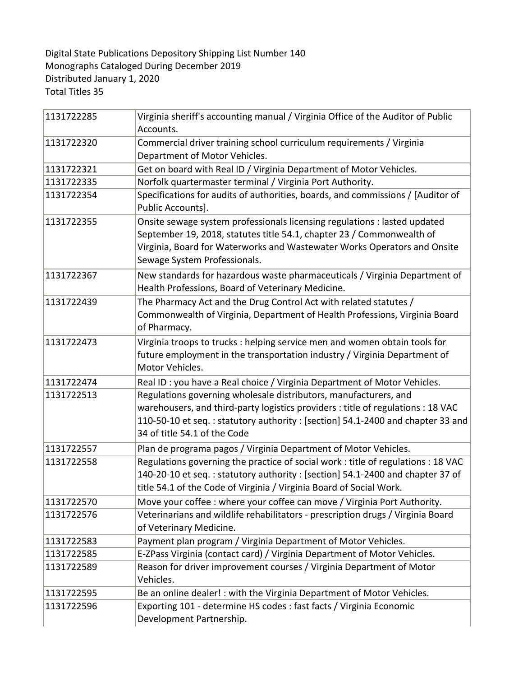Digital State Publications Depository Shipping List Number 140 Monographs Cataloged During December 2019 Distributed January 1, 2020 Total Titles 35

| 1131722285 | Virginia sheriff's accounting manual / Virginia Office of the Auditor of Public<br>Accounts.                                                                                                                                                                           |
|------------|------------------------------------------------------------------------------------------------------------------------------------------------------------------------------------------------------------------------------------------------------------------------|
| 1131722320 | Commercial driver training school curriculum requirements / Virginia<br>Department of Motor Vehicles.                                                                                                                                                                  |
| 1131722321 | Get on board with Real ID / Virginia Department of Motor Vehicles.                                                                                                                                                                                                     |
| 1131722335 | Norfolk quartermaster terminal / Virginia Port Authority.                                                                                                                                                                                                              |
| 1131722354 | Specifications for audits of authorities, boards, and commissions / [Auditor of<br>Public Accounts].                                                                                                                                                                   |
| 1131722355 | Onsite sewage system professionals licensing regulations : lasted updated<br>September 19, 2018, statutes title 54.1, chapter 23 / Commonwealth of<br>Virginia, Board for Waterworks and Wastewater Works Operators and Onsite<br>Sewage System Professionals.         |
| 1131722367 | New standards for hazardous waste pharmaceuticals / Virginia Department of<br>Health Professions, Board of Veterinary Medicine.                                                                                                                                        |
| 1131722439 | The Pharmacy Act and the Drug Control Act with related statutes /<br>Commonwealth of Virginia, Department of Health Professions, Virginia Board<br>of Pharmacy.                                                                                                        |
| 1131722473 | Virginia troops to trucks : helping service men and women obtain tools for<br>future employment in the transportation industry / Virginia Department of<br>Motor Vehicles.                                                                                             |
| 1131722474 | Real ID : you have a Real choice / Virginia Department of Motor Vehicles.                                                                                                                                                                                              |
| 1131722513 | Regulations governing wholesale distributors, manufacturers, and<br>warehousers, and third-party logistics providers : title of regulations : 18 VAC<br>110-50-10 et seq.: statutory authority: [section] 54.1-2400 and chapter 33 and<br>34 of title 54.1 of the Code |
| 1131722557 | Plan de programa pagos / Virginia Department of Motor Vehicles.                                                                                                                                                                                                        |
| 1131722558 | Regulations governing the practice of social work : title of regulations : 18 VAC<br>140-20-10 et seq.: statutory authority: [section] 54.1-2400 and chapter 37 of<br>title 54.1 of the Code of Virginia / Virginia Board of Social Work.                              |
| 1131722570 | Move your coffee : where your coffee can move / Virginia Port Authority.                                                                                                                                                                                               |
| 1131722576 | Veterinarians and wildlife rehabilitators - prescription drugs / Virginia Board<br>of Veterinary Medicine.                                                                                                                                                             |
| 1131722583 | Payment plan program / Virginia Department of Motor Vehicles.                                                                                                                                                                                                          |
| 1131722585 | E-ZPass Virginia (contact card) / Virginia Department of Motor Vehicles.                                                                                                                                                                                               |
| 1131722589 | Reason for driver improvement courses / Virginia Department of Motor<br>Vehicles.                                                                                                                                                                                      |
| 1131722595 | Be an online dealer! : with the Virginia Department of Motor Vehicles.                                                                                                                                                                                                 |
| 1131722596 | Exporting 101 - determine HS codes : fast facts / Virginia Economic<br>Development Partnership.                                                                                                                                                                        |